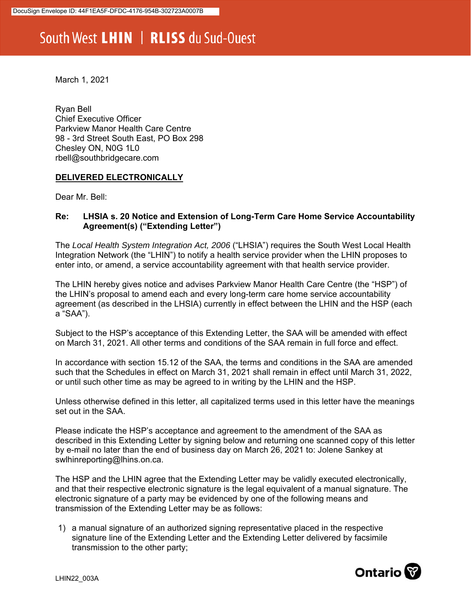## South West LHIN | RLISS du Sud-Ouest

March 1, 2021

Ryan Bell Chief Executive Officer Parkview Manor Health Care Centre 98 - 3rd Street South East, PO Box 298 Chesley ON, N0G 1L0 rbell@southbridgecare.com

## **DELIVERED ELECTRONICALLY**

Dear Mr. Bell:

## **Re: LHSIA s. 20 Notice and Extension of Long-Term Care Home Service Accountability Agreement(s) ("Extending Letter")**

The *Local Health System Integration Act, 2006* ("LHSIA") requires the South West Local Health Integration Network (the "LHIN") to notify a health service provider when the LHIN proposes to enter into, or amend, a service accountability agreement with that health service provider.

The LHIN hereby gives notice and advises Parkview Manor Health Care Centre (the "HSP") of the LHIN's proposal to amend each and every long-term care home service accountability agreement (as described in the LHSIA) currently in effect between the LHIN and the HSP (each a "SAA").

Subject to the HSP's acceptance of this Extending Letter, the SAA will be amended with effect on March 31, 2021. All other terms and conditions of the SAA remain in full force and effect.

In accordance with section 15.12 of the SAA, the terms and conditions in the SAA are amended such that the Schedules in effect on March 31, 2021 shall remain in effect until March 31, 2022, or until such other time as may be agreed to in writing by the LHIN and the HSP.

Unless otherwise defined in this letter, all capitalized terms used in this letter have the meanings set out in the SAA.

Please indicate the HSP's acceptance and agreement to the amendment of the SAA as described in this Extending Letter by signing below and returning one scanned copy of this letter by e-mail no later than the end of business day on March 26, 2021 to: Jolene Sankey at swlhinreporting@lhins.on.ca.

The HSP and the LHIN agree that the Extending Letter may be validly executed electronically, and that their respective electronic signature is the legal equivalent of a manual signature. The electronic signature of a party may be evidenced by one of the following means and transmission of the Extending Letter may be as follows:

1) a manual signature of an authorized signing representative placed in the respective signature line of the Extending Letter and the Extending Letter delivered by facsimile transmission to the other party;

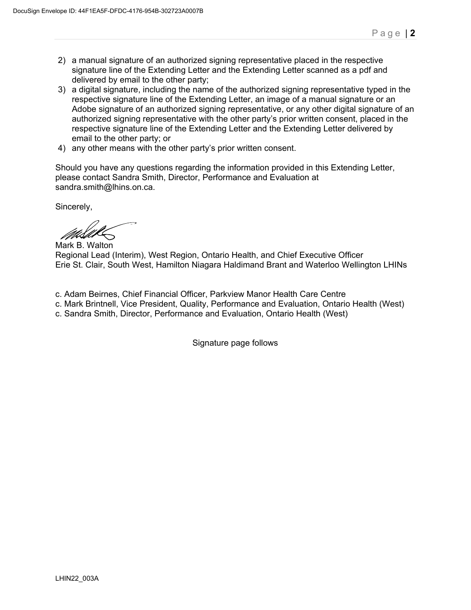- 2) a manual signature of an authorized signing representative placed in the respective signature line of the Extending Letter and the Extending Letter scanned as a pdf and delivered by email to the other party;
- 3) a digital signature, including the name of the authorized signing representative typed in the respective signature line of the Extending Letter, an image of a manual signature or an Adobe signature of an authorized signing representative, or any other digital signature of an authorized signing representative with the other party's prior written consent, placed in the respective signature line of the Extending Letter and the Extending Letter delivered by email to the other party; or
- 4) any other means with the other party's prior written consent.

Should you have any questions regarding the information provided in this Extending Letter, please contact Sandra Smith, Director, Performance and Evaluation at sandra.smith@lhins.on.ca.

Sincerely,

Mark B. Walton

Regional Lead (Interim), West Region, Ontario Health, and Chief Executive Officer Erie St. Clair, South West, Hamilton Niagara Haldimand Brant and Waterloo Wellington LHINs

- c. Adam Beirnes, Chief Financial Officer, Parkview Manor Health Care Centre
- c. Mark Brintnell, Vice President, Quality, Performance and Evaluation, Ontario Health (West)
- c. Sandra Smith, Director, Performance and Evaluation, Ontario Health (West)

Signature page follows